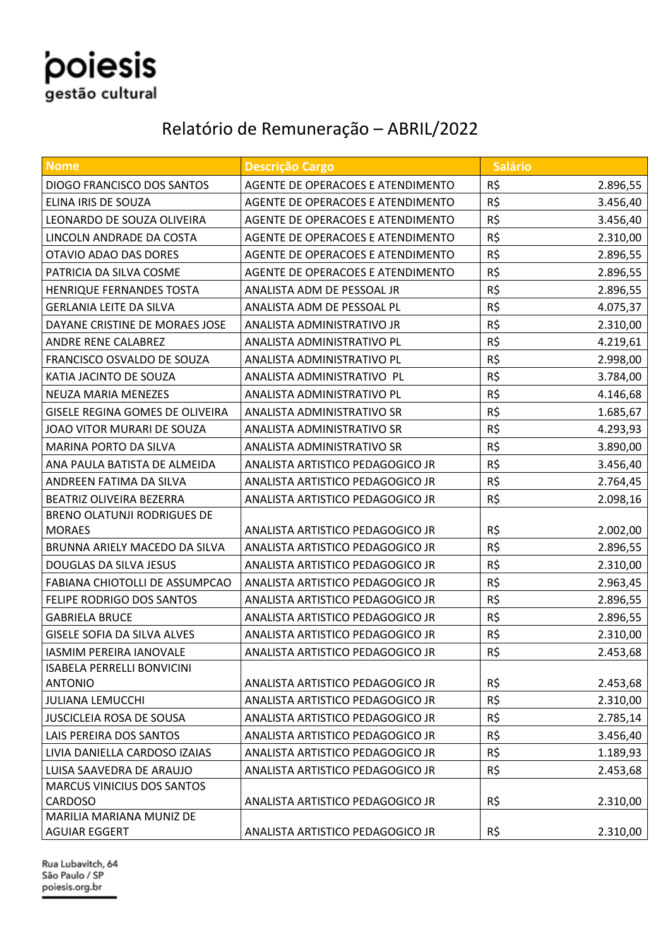## poiesis e<br>gestão cultural

### Relatório de Remuneração – ABRIL/2022

| <b>Nome</b>                                | <b>Descrição Cargo</b>            | <b>Salário</b> |          |
|--------------------------------------------|-----------------------------------|----------------|----------|
| DIOGO FRANCISCO DOS SANTOS                 | AGENTE DE OPERACOES E ATENDIMENTO | R\$            | 2.896,55 |
| ELINA IRIS DE SOUZA                        | AGENTE DE OPERACOES E ATENDIMENTO | R\$            | 3.456,40 |
| LEONARDO DE SOUZA OLIVEIRA                 | AGENTE DE OPERACOES E ATENDIMENTO | R\$            | 3.456,40 |
| LINCOLN ANDRADE DA COSTA                   | AGENTE DE OPERACOES E ATENDIMENTO | R\$            | 2.310,00 |
| OTAVIO ADAO DAS DORES                      | AGENTE DE OPERACOES E ATENDIMENTO | R\$            | 2.896,55 |
| PATRICIA DA SILVA COSME                    | AGENTE DE OPERACOES E ATENDIMENTO | R\$            | 2.896,55 |
| HENRIQUE FERNANDES TOSTA                   | ANALISTA ADM DE PESSOAL JR        | R\$            | 2.896,55 |
| <b>GERLANIA LEITE DA SILVA</b>             | ANALISTA ADM DE PESSOAL PL        | R\$            | 4.075,37 |
| DAYANE CRISTINE DE MORAES JOSE             | ANALISTA ADMINISTRATIVO JR        | R\$            | 2.310,00 |
| ANDRE RENE CALABREZ                        | ANALISTA ADMINISTRATIVO PL        | R\$            | 4.219,61 |
| FRANCISCO OSVALDO DE SOUZA                 | ANALISTA ADMINISTRATIVO PL        | R\$            | 2.998,00 |
| KATIA JACINTO DE SOUZA                     | ANALISTA ADMINISTRATIVO PL        | R\$            | 3.784,00 |
| NEUZA MARIA MENEZES                        | ANALISTA ADMINISTRATIVO PL        | R\$            | 4.146,68 |
| GISELE REGINA GOMES DE OLIVEIRA            | ANALISTA ADMINISTRATIVO SR        | R\$            | 1.685,67 |
| JOAO VITOR MURARI DE SOUZA                 | ANALISTA ADMINISTRATIVO SR        | R\$            | 4.293,93 |
| MARINA PORTO DA SILVA                      | ANALISTA ADMINISTRATIVO SR        | R\$            | 3.890,00 |
| ANA PAULA BATISTA DE ALMEIDA               | ANALISTA ARTISTICO PEDAGOGICO JR  | R\$            | 3.456,40 |
| ANDREEN FATIMA DA SILVA                    | ANALISTA ARTISTICO PEDAGOGICO JR  | R\$            | 2.764,45 |
| BEATRIZ OLIVEIRA BEZERRA                   | ANALISTA ARTISTICO PEDAGOGICO JR  | R\$            | 2.098,16 |
| <b>BRENO OLATUNJI RODRIGUES DE</b>         |                                   |                |          |
| <b>MORAES</b>                              | ANALISTA ARTISTICO PEDAGOGICO JR  | R\$            | 2.002,00 |
| BRUNNA ARIELY MACEDO DA SILVA              | ANALISTA ARTISTICO PEDAGOGICO JR  | R\$            | 2.896,55 |
| DOUGLAS DA SILVA JESUS                     | ANALISTA ARTISTICO PEDAGOGICO JR  | R\$            | 2.310,00 |
| FABIANA CHIOTOLLI DE ASSUMPCAO             | ANALISTA ARTISTICO PEDAGOGICO JR  | R\$            | 2.963,45 |
| FELIPE RODRIGO DOS SANTOS                  | ANALISTA ARTISTICO PEDAGOGICO JR  | R\$            | 2.896,55 |
| <b>GABRIELA BRUCE</b>                      | ANALISTA ARTISTICO PEDAGOGICO JR  | R\$            | 2.896,55 |
| <b>GISELE SOFIA DA SILVA ALVES</b>         | ANALISTA ARTISTICO PEDAGOGICO JR  | R\$            | 2.310,00 |
| <b>IASMIM PEREIRA IANOVALE</b>             | ANALISTA ARTISTICO PEDAGOGICO JR  | R\$            | 2.453,68 |
| <b>ISABELA PERRELLI BONVICINI</b>          |                                   |                |          |
| <b>ANTONIO</b>                             | ANALISTA ARTISTICO PEDAGOGICO JR  | R\$            | 2.453,68 |
| <b>JULIANA LEMUCCHI</b>                    | ANALISTA ARTISTICO PEDAGOGICO JR  | R\$            | 2.310,00 |
| <b>JUSCICLEIA ROSA DE SOUSA</b>            | ANALISTA ARTISTICO PEDAGOGICO JR  | R\$            | 2.785,14 |
| LAIS PEREIRA DOS SANTOS                    | ANALISTA ARTISTICO PEDAGOGICO JR  | R\$            | 3.456,40 |
| LIVIA DANIELLA CARDOSO IZAIAS              | ANALISTA ARTISTICO PEDAGOGICO JR  | R\$            | 1.189,93 |
| LUISA SAAVEDRA DE ARAUJO                   | ANALISTA ARTISTICO PEDAGOGICO JR  | R\$            | 2.453,68 |
| <b>MARCUS VINICIUS DOS SANTOS</b>          |                                   |                |          |
| <b>CARDOSO</b><br>MARILIA MARIANA MUNIZ DE | ANALISTA ARTISTICO PEDAGOGICO JR  | R\$            | 2.310,00 |
| AGUIAR EGGERT                              | ANALISTA ARTISTICO PEDAGOGICO JR  | R\$            | 2.310,00 |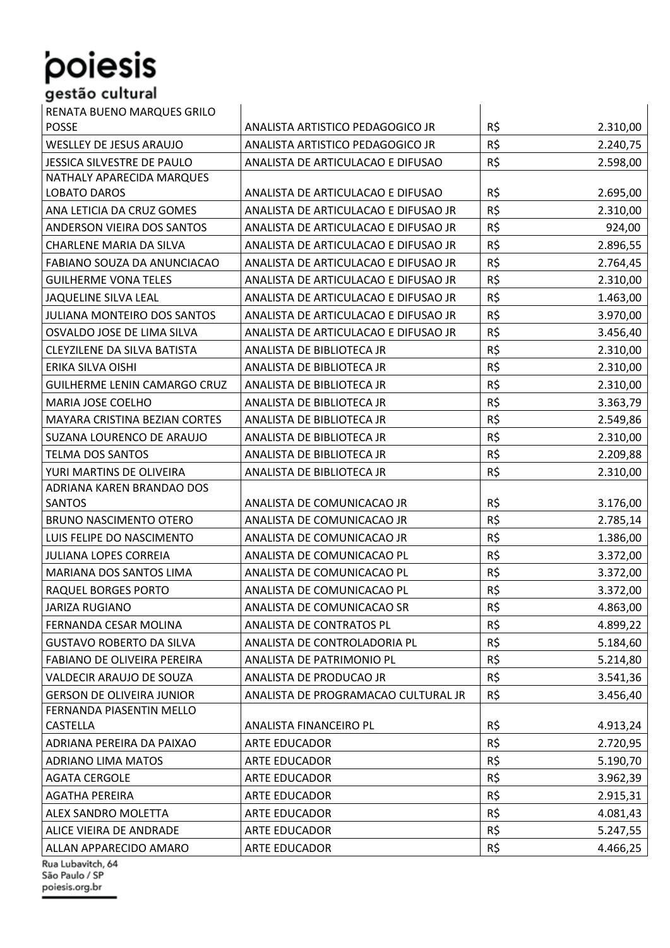## RENATA BUENO MARQUES GRILO POSSE ANALISTA ARTISTICO PEDAGOGICO JR R\$ 2.310,00 WESLLEY DE JESUS ARAUJO **ANALISTA ARTISTICO PEDAGOGICO JR** R\$ 2.240,75 JESSICA SILVESTRE DE PAULO | ANALISTA DE ARTICULACAO E DIFUSAO | R\$ 2.598,00 NATHALY APARECIDA MARQUES LOBATO DAROS ANALISTA DE ARTICULACAO E DIFUSAO RESPONSENTA 2.695,00 ANA LETICIA DA CRUZ GOMES ANALISTA DE ARTICULACAO E DIFUSAO JR R\$ 2.310,00 ANDERSON VIEIRA DOS SANTOS | ANALISTA DE ARTICULACAO E DIFUSAO JR | R\$ 924,00 CHARLENE MARIA DA SILVA **ANALISTA DE ARTICULACAO E DIFUSAO JR** R\$ 2.896,55 FABIANO SOUZA DA ANUNCIACAO | ANALISTA DE ARTICULACAO E DIFUSAO JR | R\$ 2.764,45 GUILHERME VONA TELES ANALISTA DE ARTICULACAO E DIFUSAO JR R\$ 2.310,00

| <b>GUILHERME VONA TELES</b>      | ANALISTA DE ARTICULACAO E DIFUSAO JR | RŞ.      | 2.310,00 |
|----------------------------------|--------------------------------------|----------|----------|
| <b>JAQUELINE SILVA LEAL</b>      | ANALISTA DE ARTICULACAO E DIFUSAO JR | $R\zeta$ | 1.463,00 |
| JULIANA MONTEIRO DOS SANTOS      | ANALISTA DE ARTICULACAO E DIFUSAO JR | R\$      | 3.970,00 |
| OSVALDO JOSE DE LIMA SILVA       | ANALISTA DE ARTICULACAO E DIFUSAO JR | R\$      | 3.456,40 |
| CLEYZILENE DA SILVA BATISTA      | ANALISTA DE BIBLIOTECA JR            | R\$      | 2.310,00 |
| ERIKA SILVA OISHI                | ANALISTA DE BIBLIOTECA JR            | R\$      | 2.310,00 |
| GUILHERME LENIN CAMARGO CRUZ     | ANALISTA DE BIBLIOTECA JR            | R\$      | 2.310,00 |
| MARIA JOSE COELHO                | ANALISTA DE BIBLIOTECA JR            | R\$      | 3.363,79 |
| MAYARA CRISTINA BEZIAN CORTES    | ANALISTA DE BIBLIOTECA JR            | R\$      | 2.549,86 |
| SUZANA LOURENCO DE ARAUJO        | ANALISTA DE BIBLIOTECA JR            | R\$      | 2.310,00 |
| <b>TELMA DOS SANTOS</b>          | ANALISTA DE BIBLIOTECA JR            | R\$      | 2.209,88 |
| YURI MARTINS DE OLIVEIRA         | ANALISTA DE BIBLIOTECA JR            | R\$      | 2.310,00 |
| ADRIANA KAREN BRANDAO DOS        |                                      |          |          |
| <b>SANTOS</b>                    | ANALISTA DE COMUNICACAO JR           | R\$      | 3.176,00 |
| <b>BRUNO NASCIMENTO OTERO</b>    | ANALISTA DE COMUNICACAO JR           | R\$      | 2.785,14 |
| LUIS FELIPE DO NASCIMENTO        | ANALISTA DE COMUNICACAO JR           | R\$      | 1.386,00 |
| <b>JULIANA LOPES CORREIA</b>     | ANALISTA DE COMUNICACAO PL           | R\$      | 3.372,00 |
| MARIANA DOS SANTOS LIMA          | ANALISTA DE COMUNICACAO PL           | R\$      | 3.372,00 |
| RAQUEL BORGES PORTO              | ANALISTA DE COMUNICACAO PL           | R\$      | 3.372,00 |
| <b>JARIZA RUGIANO</b>            | ANALISTA DE COMUNICACAO SR           | R\$      | 4.863,00 |
| FERNANDA CESAR MOLINA            | ANALISTA DE CONTRATOS PL             | R\$      | 4.899,22 |
| <b>GUSTAVO ROBERTO DA SILVA</b>  | ANALISTA DE CONTROLADORIA PL         | R\$      | 5.184,60 |
| FABIANO DE OLIVEIRA PEREIRA      | ANALISTA DE PATRIMONIO PL            | R\$      | 5.214,80 |
| VALDECIR ARAUJO DE SOUZA         | ANALISTA DE PRODUCAO JR              | R\$      | 3.541,36 |
| <b>GERSON DE OLIVEIRA JUNIOR</b> | ANALISTA DE PROGRAMACAO CULTURAL JR  | R\$      | 3.456,40 |
| FERNANDA PIASENTIN MELLO         |                                      |          |          |
| CASTELLA                         | ANALISTA FINANCEIRO PL               | R\$      | 4.913,24 |
| ADRIANA PEREIRA DA PAIXAO        | ARTE EDUCADOR                        | R\$      | 2.720,95 |
| <b>ADRIANO LIMA MATOS</b>        | ARTE EDUCADOR                        | R\$      | 5.190,70 |
| <b>AGATA CERGOLE</b>             | <b>ARTE EDUCADOR</b>                 | R\$      | 3.962,39 |
| AGATHA PEREIRA                   | <b>ARTE EDUCADOR</b>                 | R\$      | 2.915,31 |
| ALEX SANDRO MOLETTA              | <b>ARTE EDUCADOR</b>                 | R\$      | 4.081,43 |
| ALICE VIEIRA DE ANDRADE          | ARTE EDUCADOR                        | R\$      | 5.247,55 |
| ALLAN APPARECIDO AMARO           | <b>ARTE EDUCADOR</b>                 | R\$      | 4.466,25 |
| Rua Lubavitch, 64                |                                      |          |          |

São Paulo / SP poiesis.org.br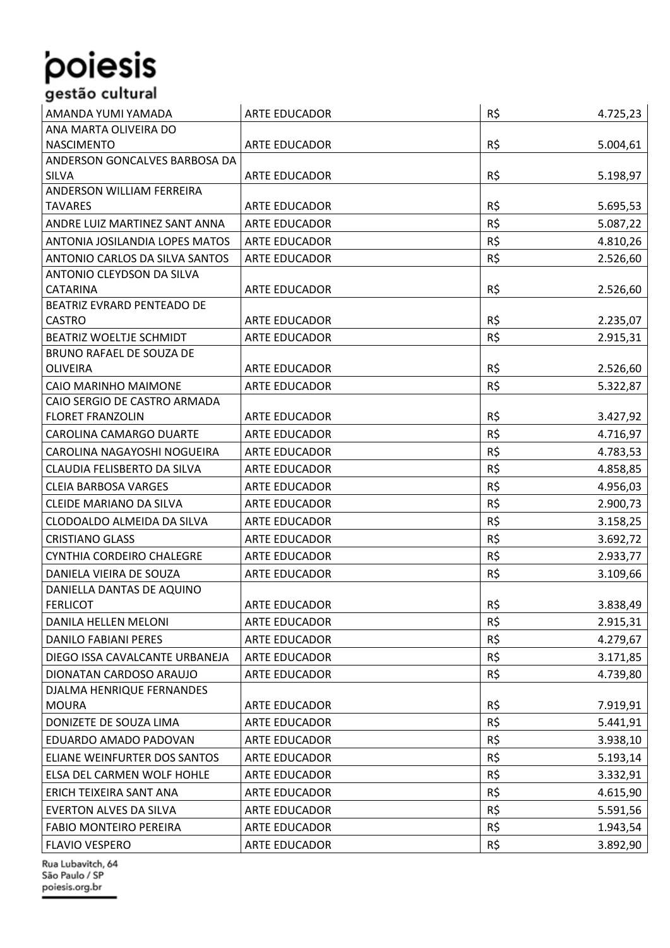| ANA MARTA OLIVEIRA DO<br>R\$<br><b>NASCIMENTO</b><br>ARTE EDUCADOR<br>5.004,61<br>ANDERSON GONCALVES BARBOSA DA<br>R\$<br><b>SILVA</b><br>ARTE EDUCADOR<br>5.198,97 |
|---------------------------------------------------------------------------------------------------------------------------------------------------------------------|
|                                                                                                                                                                     |
|                                                                                                                                                                     |
|                                                                                                                                                                     |
|                                                                                                                                                                     |
| ANDERSON WILLIAM FERREIRA                                                                                                                                           |
| R\$<br><b>TAVARES</b><br><b>ARTE EDUCADOR</b><br>5.695,53                                                                                                           |
| R\$<br>ANDRE LUIZ MARTINEZ SANT ANNA<br><b>ARTE EDUCADOR</b><br>5.087,22                                                                                            |
| R\$<br>ANTONIA JOSILANDIA LOPES MATOS<br><b>ARTE EDUCADOR</b><br>4.810,26                                                                                           |
| R\$<br>ANTONIO CARLOS DA SILVA SANTOS<br><b>ARTE EDUCADOR</b><br>2.526,60                                                                                           |
| ANTONIO CLEYDSON DA SILVA<br>R\$<br>2.526,60<br><b>CATARINA</b><br><b>ARTE EDUCADOR</b>                                                                             |
| BEATRIZ EVRARD PENTEADO DE                                                                                                                                          |
| R\$<br><b>ARTE EDUCADOR</b><br><b>CASTRO</b><br>2.235,07                                                                                                            |
| R\$<br>BEATRIZ WOELTJE SCHMIDT<br>2.915,31<br><b>ARTE EDUCADOR</b>                                                                                                  |
| BRUNO RAFAEL DE SOUZA DE                                                                                                                                            |
| R\$<br><b>OLIVEIRA</b><br><b>ARTE EDUCADOR</b><br>2.526,60                                                                                                          |
| R\$<br>CAIO MARINHO MAIMONE<br><b>ARTE EDUCADOR</b><br>5.322,87                                                                                                     |
| CAIO SERGIO DE CASTRO ARMADA                                                                                                                                        |
| R\$<br><b>FLORET FRANZOLIN</b><br><b>ARTE EDUCADOR</b><br>3.427,92                                                                                                  |
| R\$<br>CAROLINA CAMARGO DUARTE<br><b>ARTE EDUCADOR</b><br>4.716,97                                                                                                  |
| R\$<br>CAROLINA NAGAYOSHI NOGUEIRA<br><b>ARTE EDUCADOR</b><br>4.783,53                                                                                              |
| R\$<br>CLAUDIA FELISBERTO DA SILVA<br><b>ARTE EDUCADOR</b><br>4.858,85                                                                                              |
| R\$<br><b>CLEIA BARBOSA VARGES</b><br><b>ARTE EDUCADOR</b><br>4.956,03                                                                                              |
| R\$<br>2.900,73<br>CLEIDE MARIANO DA SILVA<br>ARTE EDUCADOR                                                                                                         |
| R\$<br>CLODOALDO ALMEIDA DA SILVA<br><b>ARTE EDUCADOR</b><br>3.158,25                                                                                               |
| R\$<br><b>CRISTIANO GLASS</b><br><b>ARTE EDUCADOR</b><br>3.692,72                                                                                                   |
| R\$<br>CYNTHIA CORDEIRO CHALEGRE<br><b>ARTE EDUCADOR</b><br>2.933,77                                                                                                |
| R\$<br>DANIELA VIEIRA DE SOUZA<br>3.109,66<br><b>ARTE EDUCADOR</b>                                                                                                  |
| DANIELLA DANTAS DE AQUINO                                                                                                                                           |
| R\$<br>3.838,49<br><b>FERLICOT</b><br>ARTE EDUCADOR                                                                                                                 |
| R\$<br>DANILA HELLEN MELONI<br>ARTE EDUCADOR<br>2.915,31                                                                                                            |
| R\$<br>4.279,67<br>DANILO FABIANI PERES<br>ARTE EDUCADOR                                                                                                            |
| R\$<br>DIEGO ISSA CAVALCANTE URBANEJA<br><b>ARTE EDUCADOR</b><br>3.171,85                                                                                           |
| R\$<br>DIONATAN CARDOSO ARAUJO<br><b>ARTE EDUCADOR</b><br>4.739,80                                                                                                  |
| DJALMA HENRIQUE FERNANDES                                                                                                                                           |
| R\$<br><b>MOURA</b><br>ARTE EDUCADOR<br>7.919,91                                                                                                                    |
| R\$<br>DONIZETE DE SOUZA LIMA<br>ARTE EDUCADOR<br>5.441,91                                                                                                          |
| R\$<br>EDUARDO AMADO PADOVAN<br>ARTE EDUCADOR<br>3.938,10                                                                                                           |
| R\$<br>ELIANE WEINFURTER DOS SANTOS<br>ARTE EDUCADOR<br>5.193,14                                                                                                    |
| R\$<br>ELSA DEL CARMEN WOLF HOHLE<br><b>ARTE EDUCADOR</b><br>3.332,91                                                                                               |
| R\$<br>ERICH TEIXEIRA SANT ANA<br>ARTE EDUCADOR<br>4.615,90                                                                                                         |
| R\$<br>EVERTON ALVES DA SILVA<br>ARTE EDUCADOR<br>5.591,56                                                                                                          |
| R\$<br><b>FABIO MONTEIRO PEREIRA</b><br>ARTE EDUCADOR<br>1.943,54                                                                                                   |
| R\$<br><b>FLAVIO VESPERO</b><br>ARTE EDUCADOR<br>3.892,90                                                                                                           |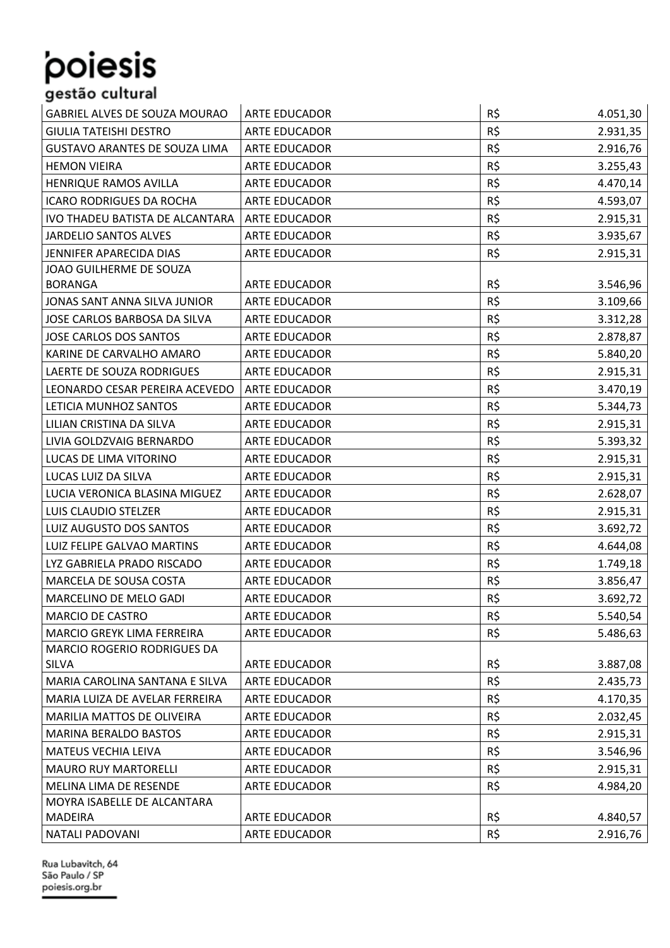### GABRIEL ALVES DE SOUZA MOURAO ARTE EDUCADOR R\$ 4.051,30 GIULIA TATEISHI DESTRO ARTE EDUCADOR R\$ 2.931,35 GUSTAVO ARANTES DE SOUZA LIMA ARTE EDUCADOR R\$ 2.916,76 HEMON VIEIRA ARTE EDUCADOR R\$ 3.255,43 HENRIQUE RAMOS AVILLA **ARTE EDUCADOR** ARTE EDUCADOR **R\$** 4.470,14 ICARO RODRIGUES DA ROCHA ARTE EDUCADOR R\$ 1.593,07 IVO THADEU BATISTA DE ALCANTARA ARTE EDUCADOR ARTE ARTE ARTE ARTE EDUCADOR ARTE ARTE ARTE ARTE ARTE ARTE ARTE JARDELIO SANTOS ALVES ARTE EDUCADOR R\$ 3.935,67 JENNIFER APARECIDA DIAS ARTE EDUCADOR R\$ 2.915,31 JOAO GUILHERME DE SOUZA BORANGA ARTE EDUCADOR R\$ 3.546,96 JONAS SANT ANNA SILVA JUNIOR ARTE EDUCADOR R\$ 1.109,66 JOSE CARLOS BARBOSA DA SILVA ARTE EDUCADOR R\$ 3.312,28 JOSE CARLOS DOS SANTOS ARTE EDUCADOR R\$ 2.878,87 KARINE DE CARVALHO AMARO ARTE EDUCADOR R\$ 5.840,20 LAERTE DE SOUZA RODRIGUES ARTE EDUCADOR R\$ 2.915,31 LEONARDO CESAR PEREIRA ACEVEDO ARTE EDUCADOR R\$ 3.470,19 LETICIA MUNHOZ SANTOS ARTE EDUCADOR R\$ 5.344,73 LILIAN CRISTINA DA SILVA ARTE EDUCADOR RESISTINA DA SILVA RESISTINA DA SILVA LIVIA GOLDZVAIG BERNARDO ARTE EDUCADOR R\$ 5.393,32 LUCAS DE LIMA VITORINO ARTE EDUCADOR ARTE EDUCADOR ARTE EDUCADOR ARTE EDUCADOR ARTE EDUCADOR ARTE EDUCADOR ARTE EDUCADOR ARTE EDUCADOR ARTE EDUCADOR ARTE EDUCADOR ARTE EDUCADOR ARTE EDUCADOR ARTE EDUCADOR ARTE EDUCADOR ART LUCAS LUIZ DA SILVA ARTE EDUCADOR R\$ 2.915,31 LUCIA VERONICA BLASINA MIGUEZ ARTE EDUCADOR R\$ 2.628,07 LUIS CLAUDIO STELZER **ARTE EDUCADOR** R\$ 2.915.31 LUIZ AUGUSTO DOS SANTOS ARTE EDUCADOR R\$ 3.692,72 LUIZ FELIPE GALVAO MARTINS ARTE EDUCADOR R\$ 4.644,08 LYZ GABRIELA PRADO RISCADO | ARTE EDUCADOR | R\$ 1.749,18 MARCELA DE SOUSA COSTA ARTE EDUCADOR RESIDENTE ARTE EDUCADOR RESIDENTE ARTE ENTRE ESTA ARTE EDUCADOR RESIDENCE MARCELINO DE MELO GADI **ARTE EDUCADOR** R\$ 3.692,72 MARCIO DE CASTRO ARTE EDUCADOR R\$ 5.540,54 MARCIO GREYK LIMA FERREIRA ARTE EDUCADOR R\$ 1.486,63 MARCIO ROGERIO RODRIGUES DA SILVA ARTE EDUCADOR R\$ 3.887,08 MARIA CAROLINA SANTANA E SILVA | ARTE EDUCADOR | R\$ 2.435,73 MARIA LUIZA DE AVELAR FERREIRA ARTE EDUCADOR R\$ 4.170,35 MARILIA MATTOS DE OLIVEIRA ARTE EDUCADOR ARTE ARTE ARTE ARTE EDUCADOR ARTE ARTE ARTE EDUCADOR ARTE ARTE ARTE A MARINA BERALDO BASTOS **ARTE EDUCADOR** ARTE EDUCADOR R\$ 2.915,31 MATEUS VECHIA LEIVA ARTE EDUCADOR R\$ 3.546,96 MAURO RUY MARTORELLI ARTE EDUCADOR R\$ 1.915,31 MELINA LIMA DE RESENDE ARTE EDUCADOR AND LAS ANGLES ANGLES ANGLES ANGLES ANGLES ANGLES ANGLES ANGLES ANGLES AN MOYRA ISABELLE DE ALCANTARA MADEIRA ARTE EDUCADOR R\$ 4.840,57 NATALI PADOVANI ARTE EDUCADOR R\$ 2.916,76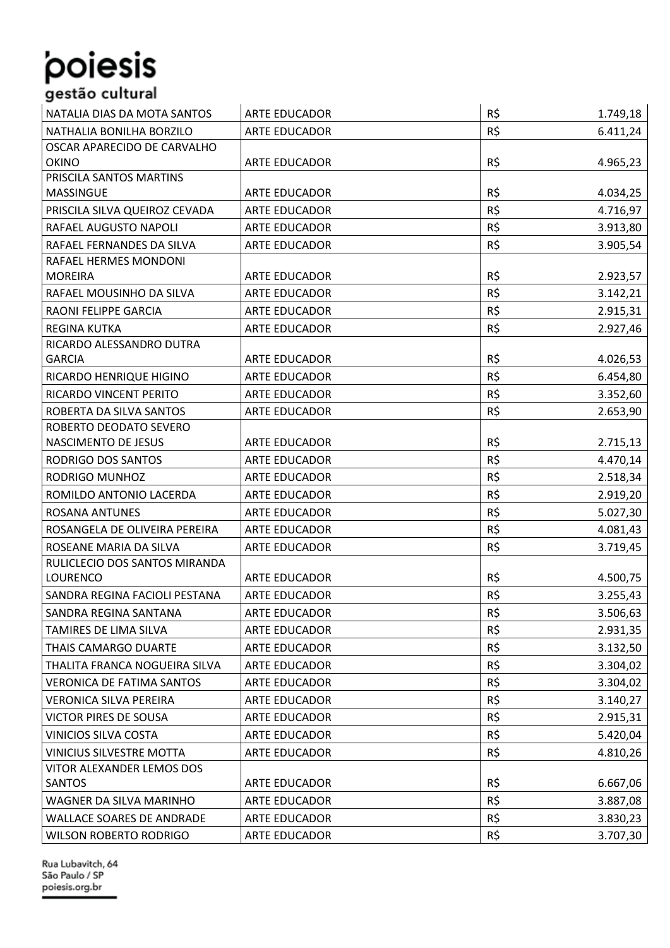## NATALIA DIAS DA MOTA SANTOS ARTE EDUCADOR R\$ 1.749,18

| NATALIA DIAS DA MUTA SANTUS      | ARTE EDUCADOR        | кş  | 1.749,10 |
|----------------------------------|----------------------|-----|----------|
| NATHALIA BONILHA BORZILO         | <b>ARTE EDUCADOR</b> | R\$ | 6.411,24 |
| OSCAR APARECIDO DE CARVALHO      |                      |     |          |
| <b>OKINO</b>                     | ARTE EDUCADOR        | R\$ | 4.965,23 |
| PRISCILA SANTOS MARTINS          |                      |     |          |
| <b>MASSINGUE</b>                 | ARTE EDUCADOR        | R\$ | 4.034,25 |
| PRISCILA SILVA QUEIROZ CEVADA    | <b>ARTE EDUCADOR</b> | R\$ | 4.716,97 |
| RAFAEL AUGUSTO NAPOLI            | <b>ARTE EDUCADOR</b> | R\$ | 3.913,80 |
| RAFAEL FERNANDES DA SILVA        | ARTE EDUCADOR        | R\$ | 3.905,54 |
| RAFAEL HERMES MONDONI            |                      |     |          |
| <b>MOREIRA</b>                   | ARTE EDUCADOR        | R\$ | 2.923,57 |
| RAFAEL MOUSINHO DA SILVA         | <b>ARTE EDUCADOR</b> | R\$ | 3.142,21 |
| RAONI FELIPPE GARCIA             | <b>ARTE EDUCADOR</b> | R\$ | 2.915,31 |
| <b>REGINA KUTKA</b>              | <b>ARTE EDUCADOR</b> | R\$ | 2.927,46 |
| RICARDO ALESSANDRO DUTRA         |                      |     |          |
| <b>GARCIA</b>                    | <b>ARTE EDUCADOR</b> | R\$ | 4.026,53 |
| RICARDO HENRIQUE HIGINO          | <b>ARTE EDUCADOR</b> | R\$ | 6.454,80 |
| RICARDO VINCENT PERITO           | <b>ARTE EDUCADOR</b> | R\$ | 3.352,60 |
| ROBERTA DA SILVA SANTOS          | <b>ARTE EDUCADOR</b> | R\$ | 2.653,90 |
| ROBERTO DEODATO SEVERO           |                      |     |          |
| NASCIMENTO DE JESUS              | <b>ARTE EDUCADOR</b> | R\$ | 2.715,13 |
| RODRIGO DOS SANTOS               | <b>ARTE EDUCADOR</b> | R\$ | 4.470,14 |
| RODRIGO MUNHOZ                   | <b>ARTE EDUCADOR</b> | R\$ | 2.518,34 |
| ROMILDO ANTONIO LACERDA          | <b>ARTE EDUCADOR</b> | R\$ | 2.919,20 |
| <b>ROSANA ANTUNES</b>            | <b>ARTE EDUCADOR</b> | R\$ | 5.027,30 |
| ROSANGELA DE OLIVEIRA PEREIRA    | ARTE EDUCADOR        | R\$ | 4.081,43 |
| ROSEANE MARIA DA SILVA           | <b>ARTE EDUCADOR</b> | R\$ | 3.719,45 |
| RULICLECIO DOS SANTOS MIRANDA    |                      |     |          |
| <b>LOURENCO</b>                  | <b>ARTE EDUCADOR</b> | R\$ | 4.500,75 |
| SANDRA REGINA FACIOLI PESTANA    | <b>ARTE EDUCADOR</b> | R\$ | 3.255,43 |
| SANDRA REGINA SANTANA            | <b>ARTE EDUCADOR</b> | R\$ | 3.506,63 |
| TAMIRES DE LIMA SILVA            | <b>ARTE EDUCADOR</b> | R\$ | 2.931,35 |
| THAIS CAMARGO DUARTE             | ARTE EDUCADOR        | R\$ | 3.132,50 |
| THALITA FRANCA NOGUEIRA SILVA    | <b>ARTE EDUCADOR</b> | R\$ | 3.304,02 |
| VERONICA DE FATIMA SANTOS        | ARTE EDUCADOR        | R\$ | 3.304,02 |
| VERONICA SILVA PEREIRA           | <b>ARTE EDUCADOR</b> | R\$ | 3.140,27 |
| <b>VICTOR PIRES DE SOUSA</b>     | ARTE EDUCADOR        | R\$ | 2.915,31 |
| VINICIOS SILVA COSTA             | ARTE EDUCADOR        | R\$ | 5.420,04 |
| <b>VINICIUS SILVESTRE MOTTA</b>  | ARTE EDUCADOR        | R\$ | 4.810,26 |
| VITOR ALEXANDER LEMOS DOS        |                      |     |          |
| SANTOS                           | ARTE EDUCADOR        | R\$ | 6.667,06 |
| WAGNER DA SILVA MARINHO          | <b>ARTE EDUCADOR</b> | R\$ | 3.887,08 |
| <b>WALLACE SOARES DE ANDRADE</b> | <b>ARTE EDUCADOR</b> | R\$ | 3.830,23 |
| <b>WILSON ROBERTO RODRIGO</b>    | ARTE EDUCADOR        | R\$ | 3.707,30 |
|                                  |                      |     |          |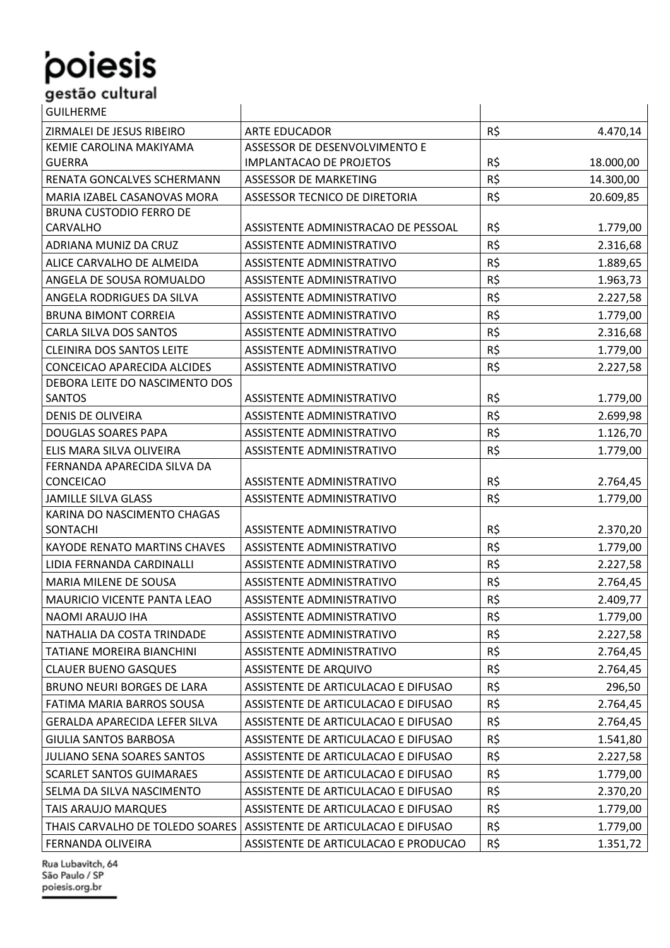| <b>GUILHERME</b>                    |                                      |          |           |
|-------------------------------------|--------------------------------------|----------|-----------|
| ZIRMALEI DE JESUS RIBEIRO           | <b>ARTE EDUCADOR</b>                 | $R\zeta$ | 4.470,14  |
| KEMIE CAROLINA MAKIYAMA             | ASSESSOR DE DESENVOLVIMENTO E        |          |           |
| <b>GUERRA</b>                       | <b>IMPLANTACAO DE PROJETOS</b>       | R\$      | 18.000,00 |
| RENATA GONCALVES SCHERMANN          | <b>ASSESSOR DE MARKETING</b>         | R\$      | 14.300,00 |
| MARIA IZABEL CASANOVAS MORA         | ASSESSOR TECNICO DE DIRETORIA        | R\$      | 20.609,85 |
| <b>BRUNA CUSTODIO FERRO DE</b>      |                                      |          |           |
| CARVALHO                            | ASSISTENTE ADMINISTRACAO DE PESSOAL  | R\$      | 1.779,00  |
| ADRIANA MUNIZ DA CRUZ               | ASSISTENTE ADMINISTRATIVO            | R\$      | 2.316,68  |
| ALICE CARVALHO DE ALMEIDA           | ASSISTENTE ADMINISTRATIVO            | R\$      | 1.889,65  |
| ANGELA DE SOUSA ROMUALDO            | ASSISTENTE ADMINISTRATIVO            | R\$      | 1.963,73  |
| ANGELA RODRIGUES DA SILVA           | ASSISTENTE ADMINISTRATIVO            | R\$      | 2.227,58  |
| <b>BRUNA BIMONT CORREIA</b>         | ASSISTENTE ADMINISTRATIVO            | R\$      | 1.779,00  |
| CARLA SILVA DOS SANTOS              | ASSISTENTE ADMINISTRATIVO            | R\$      | 2.316,68  |
| <b>CLEINIRA DOS SANTOS LEITE</b>    | ASSISTENTE ADMINISTRATIVO            | R\$      | 1.779,00  |
| CONCEICAO APARECIDA ALCIDES         | ASSISTENTE ADMINISTRATIVO            | R\$      | 2.227,58  |
| DEBORA LEITE DO NASCIMENTO DOS      |                                      |          |           |
| <b>SANTOS</b>                       | ASSISTENTE ADMINISTRATIVO            | R\$      | 1.779,00  |
| <b>DENIS DE OLIVEIRA</b>            | ASSISTENTE ADMINISTRATIVO            | R\$      | 2.699,98  |
| DOUGLAS SOARES PAPA                 | ASSISTENTE ADMINISTRATIVO            | R\$      | 1.126,70  |
| ELIS MARA SILVA OLIVEIRA            | ASSISTENTE ADMINISTRATIVO            | R\$      | 1.779,00  |
| FERNANDA APARECIDA SILVA DA         |                                      |          |           |
| CONCEICAO                           | ASSISTENTE ADMINISTRATIVO            | R\$      | 2.764,45  |
| <b>JAMILLE SILVA GLASS</b>          | ASSISTENTE ADMINISTRATIVO            | R\$      | 1.779,00  |
| KARINA DO NASCIMENTO CHAGAS         |                                      |          |           |
| SONTACHI                            | ASSISTENTE ADMINISTRATIVO            | R\$      | 2.370,20  |
| <b>KAYODE RENATO MARTINS CHAVES</b> | <b>ASSISTENTE ADMINISTRATIVO</b>     | R\$      | 1.779,00  |
| LIDIA FERNANDA CARDINALLI           | ASSISTENTE ADMINISTRATIVO            | R\$      | 2.227,58  |
| MARIA MILENE DE SOUSA               | ASSISTENTE ADMINISTRATIVO            | R\$      | 2.764,45  |
| MAURICIO VICENTE PANTA LEAO         | ASSISTENTE ADMINISTRATIVO            | R\$      | 2.409,77  |
| NAOMI ARAUJO IHA                    | ASSISTENTE ADMINISTRATIVO            | R\$      | 1.779,00  |
| NATHALIA DA COSTA TRINDADE          | ASSISTENTE ADMINISTRATIVO            | R\$      | 2.227,58  |
| TATIANE MOREIRA BIANCHINI           | ASSISTENTE ADMINISTRATIVO            | R\$      | 2.764,45  |
| <b>CLAUER BUENO GASQUES</b>         | <b>ASSISTENTE DE ARQUIVO</b>         | R\$      | 2.764,45  |
| BRUNO NEURI BORGES DE LARA          | ASSISTENTE DE ARTICULACAO E DIFUSAO  | R\$      | 296,50    |
| FATIMA MARIA BARROS SOUSA           | ASSISTENTE DE ARTICULACAO E DIFUSAO  | R\$      | 2.764,45  |
| GERALDA APARECIDA LEFER SILVA       | ASSISTENTE DE ARTICULACAO E DIFUSAO  | R\$      | 2.764,45  |
| GIULIA SANTOS BARBOSA               | ASSISTENTE DE ARTICULACAO E DIFUSAO  | R\$      | 1.541,80  |
| JULIANO SENA SOARES SANTOS          | ASSISTENTE DE ARTICULACAO E DIFUSAO  | R\$      | 2.227,58  |
| <b>SCARLET SANTOS GUIMARAES</b>     | ASSISTENTE DE ARTICULACAO E DIFUSAO  | R\$      | 1.779,00  |
| SELMA DA SILVA NASCIMENTO           | ASSISTENTE DE ARTICULACAO E DIFUSAO  | R\$      | 2.370,20  |
| TAIS ARAUJO MARQUES                 | ASSISTENTE DE ARTICULACAO E DIFUSAO  | R\$      | 1.779,00  |
| THAIS CARVALHO DE TOLEDO SOARES     | ASSISTENTE DE ARTICULACAO E DIFUSAO  | R\$      | 1.779,00  |
| FERNANDA OLIVEIRA                   | ASSISTENTE DE ARTICULACAO E PRODUCAO | R\$      | 1.351,72  |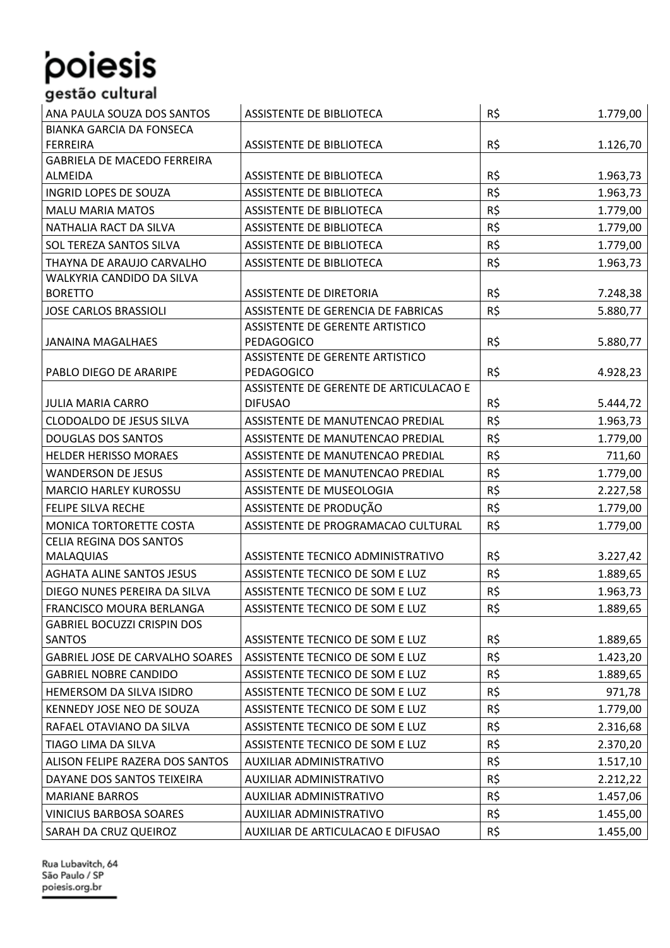#### ANA PAULA SOUZA DOS SANTOS ASSISTENTE DE BIBLIOTECA ANA PAULA SOUZA DOS SANTOS ANASSISTENTE DE BIBLIOTECA ANA BIANKA GARCIA DA FONSECA FERREIRA ASSISTENTE DE BIBLIOTECA R\$ 1.126,70 GABRIELA DE MACEDO FERREIRA ALMEIDA ASSISTENTE DE BIBLIOTECA R\$ 1.963,73 INGRID LOPES DE SOUZA ASSISTENTE DE BIBLIOTECA ASSISTENTE DE BIBLIOTECA R\$ 1.963.73 MALU MARIA MATOS **ALLE ASSISTENTE DE BIBLIOTECA** R\$ 1.779,00 NATHALIA RACT DA SILVA ASSISTENTE DE BIBLIOTECA R\$ 1.779,00 SOL TEREZA SANTOS SILVA ASSISTENTE DE BIBLIOTECA R\$ 1.779,00 THAYNA DE ARAUJO CARVALHO ASSISTENTE DE BIBLIOTECA ASSISTENTE DE BIBLIOTECA R\$ 1.963,73 WALKYRIA CANDIDO DA SILVA BORETTO ASSISTENTE DE DIRETORIA R\$ 1.248.38 JOSE CARLOS BRASSIOLI | ASSISTENTE DE GERENCIA DE FABRICAS | R\$ 5.880,77 JANAINA MAGALHAES ASSISTENTE DE GERENTE ARTISTICO PEDAGOGICO | R\$ 5.880,77 PABLO DIEGO DE ARARIPE ASSISTENTE DE GERENTE ARTISTICO PEDAGOGICO REDAGOGICO REDAGOGICO REDAGOGICO REDAGOGICO REDAGOGICO REDAGOGICO REDAGOGICO REDAGOGICO REDAGOGICO JULIA MARIA CARRO ASSISTENTE DE GERENTE DE ARTICULACAO E DIFUSAO R\$ 5.444,72 CLODOALDO DE JESUS SILVA ASSISTENTE DE MANUTENCAO PREDIAL R\$ 1.963,73 DOUGLAS DOS SANTOS ANTOS ANTOS ANTOS ASSISTENTE DE MANUTENCAO PREDIAL ASSISTENTE DE MANUTENCAO PREDIAL ANTES A HELDER HERISSO MORAES ASSISTENTE DE MANUTENCAO PREDIAL ASSISTENTE DE MANUTENCAO PREDIAL ANS ESTENTES RESERVENT WANDERSON DE JESUS ASSISTENTE DE MANUTENCAO PREDIAL ASSISTENTE DE MANUTENCAO PREDIAL ASSISTENTES ENTRE 1.779.00 MARCIO HARLEY KUROSSU ASSISTENTE DE MUSEOLOGIA RESPONSENTE DE MUSEOLOGIA FELIPE SILVA RECHE ASSISTENTE DE PRODUÇÃO R\$ 1.779,00 MONICA TORTORETTE COSTA ASSISTENTE DE PROGRAMACAO CULTURAL R\$ 1.779,00 CELIA REGINA DOS SANTOS MALAQUIAS ASSISTENTE TECNICO ADMINISTRATIVO R\$ 3.227,42 AGHATA ALINE SANTOS JESUS ASSISTENTE TECNICO DE SOM E LUZ ASSISTENTE TECNICO DE SOM E LUZ ASSISTENTE DE LUZ ASSISTENTE TECNICO DE SOM E LUZ ASSISTENTE TECNICO DE SOM E LUZ ASSISTENTE DE LUZ ASSISTENTE DE LUZ ASSISTENTE DE DIEGO NUNES PEREIRA DA SILVA LASSISTENTE TECNICO DE SOM E LUZ ASSISTENTE TECNICO DE SOM E LUZ LAS LAS LAS 1.963.73 FRANCISCO MOURA BERLANGA | ASSISTENTE TECNICO DE SOM E LUZ | R\$ 1.889,65 GABRIEL BOCUZZI CRISPIN DOS SANTOS ASSISTENTE TECNICO DE SOM E LUZ R\$ 1.889,65 GABRIEL JOSE DE CARVALHO SOARES | ASSISTENTE TECNICO DE SOM E LUZ  $\left|\begin{array}{c} R \text{S} \end{array}\right|$ GABRIEL NOBRE CANDIDO ASSISTENTE TECNICO DE SOM E LUZ R\$ 1.889,65 HEMERSOM DA SILVA ISIDRO ASSISTENTE TECNICO DE SOM E LUZ R\$ 971,78 KENNEDY JOSE NEO DE SOUZA ASSISTENTE TECNICO DE SOM E LUZ R\$ 1.779,00 RAFAEL OTAVIANO DA SILVA ASSISTENTE TECNICO DE SOM E LUZ R\$ 2.316,68 TIAGO LIMA DA SILVA  $\vert$ ASSISTENTE TECNICO DE SOM E LUZ  $\vert$  R\$ 2.370,20 ALISON FELIPE RAZERA DOS SANTOS AUXILIAR ADMINISTRATIVO R\$ 1.517,10 DAYANE DOS SANTOS TEIXEIRA AUXILIAR ADMINISTRATIVO AUXILIAR AUXILIAR ADMINISTRATIVO MARIANE BARROS AUXILIAR ADMINISTRATIVO R\$ 1.457,06 VINICIUS BARBOSA SOARES AUXILIAR ADMINISTRATIVO AUXILIAR AUXILIAR ADMINISTRATIVO SARAH DA CRUZ QUEIROZ AUXILIAR DE ARTICULACAO E DIFUSAO R\$ 1.455,00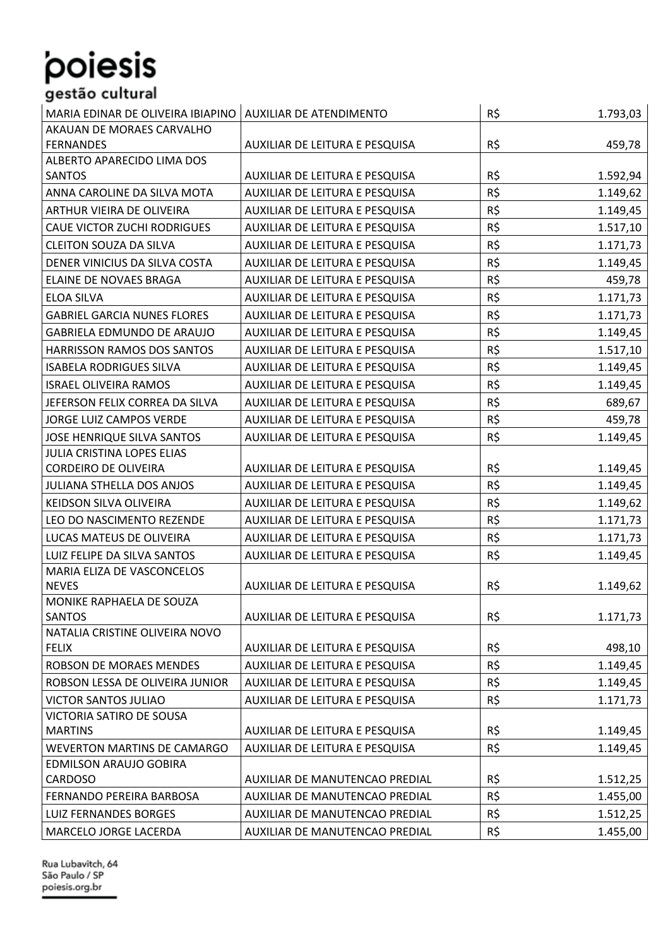| MARIA EDINAR DE OLIVEIRA IBIAPINO  | <b>AUXILIAR DE ATENDIMENTO</b> | R\$ | 1.793,03 |
|------------------------------------|--------------------------------|-----|----------|
| AKAUAN DE MORAES CARVALHO          |                                |     |          |
| <b>FERNANDES</b>                   | AUXILIAR DE LEITURA E PESQUISA | R\$ | 459,78   |
| ALBERTO APARECIDO LIMA DOS         |                                |     |          |
| <b>SANTOS</b>                      | AUXILIAR DE LEITURA E PESQUISA | R\$ | 1.592,94 |
| ANNA CAROLINE DA SILVA MOTA        | AUXILIAR DE LEITURA E PESQUISA | R\$ | 1.149,62 |
| ARTHUR VIEIRA DE OLIVEIRA          | AUXILIAR DE LEITURA E PESQUISA | R\$ | 1.149,45 |
| <b>CAUE VICTOR ZUCHI RODRIGUES</b> | AUXILIAR DE LEITURA E PESQUISA | R\$ | 1.517,10 |
| <b>CLEITON SOUZA DA SILVA</b>      | AUXILIAR DE LEITURA E PESQUISA | R\$ | 1.171,73 |
| DENER VINICIUS DA SILVA COSTA      | AUXILIAR DE LEITURA E PESQUISA | R\$ | 1.149,45 |
| ELAINE DE NOVAES BRAGA             | AUXILIAR DE LEITURA E PESQUISA | R\$ | 459,78   |
| <b>ELOA SILVA</b>                  | AUXILIAR DE LEITURA E PESQUISA | R\$ | 1.171,73 |
| <b>GABRIEL GARCIA NUNES FLORES</b> | AUXILIAR DE LEITURA E PESQUISA | R\$ | 1.171,73 |
| GABRIELA EDMUNDO DE ARAUJO         | AUXILIAR DE LEITURA E PESQUISA | R\$ | 1.149,45 |
| HARRISSON RAMOS DOS SANTOS         | AUXILIAR DE LEITURA E PESQUISA | R\$ | 1.517,10 |
| <b>ISABELA RODRIGUES SILVA</b>     | AUXILIAR DE LEITURA E PESQUISA | R\$ | 1.149,45 |
| <b>ISRAEL OLIVEIRA RAMOS</b>       | AUXILIAR DE LEITURA E PESQUISA | R\$ | 1.149,45 |
| JEFERSON FELIX CORREA DA SILVA     | AUXILIAR DE LEITURA E PESQUISA | R\$ | 689,67   |
| JORGE LUIZ CAMPOS VERDE            | AUXILIAR DE LEITURA E PESQUISA | R\$ | 459,78   |
| <b>JOSE HENRIQUE SILVA SANTOS</b>  | AUXILIAR DE LEITURA E PESQUISA | R\$ | 1.149,45 |
| JULIA CRISTINA LOPES ELIAS         |                                |     |          |
| <b>CORDEIRO DE OLIVEIRA</b>        | AUXILIAR DE LEITURA E PESQUISA | R\$ | 1.149,45 |
| JULIANA STHELLA DOS ANJOS          | AUXILIAR DE LEITURA E PESQUISA | R\$ | 1.149,45 |
| KEIDSON SILVA OLIVEIRA             | AUXILIAR DE LEITURA E PESQUISA | R\$ | 1.149,62 |
| LEO DO NASCIMENTO REZENDE          | AUXILIAR DE LEITURA E PESQUISA | R\$ | 1.171,73 |
| LUCAS MATEUS DE OLIVEIRA           | AUXILIAR DE LEITURA E PESQUISA | R\$ | 1.171,73 |
| LUIZ FELIPE DA SILVA SANTOS        | AUXILIAR DE LEITURA E PESQUISA | R\$ | 1.149,45 |
| MARIA ELIZA DE VASCONCELOS         |                                |     |          |
| <b>NEVES</b>                       | AUXILIAR DE LEITURA E PESQUISA | R\$ | 1.149,62 |
| MONIKE RAPHAELA DE SOUZA           |                                |     |          |
| <b>SANTOS</b>                      | AUXILIAR DE LEITURA E PESQUISA | R\$ | 1.171,73 |
| NATALIA CRISTINE OLIVEIRA NOVO     |                                |     |          |
| <b>FELIX</b>                       | AUXILIAR DE LEITURA E PESQUISA | R\$ | 498,10   |
| ROBSON DE MORAES MENDES            | AUXILIAR DE LEITURA E PESQUISA | R\$ | 1.149,45 |
| ROBSON LESSA DE OLIVEIRA JUNIOR    | AUXILIAR DE LEITURA E PESQUISA | R\$ | 1.149,45 |
| <b>VICTOR SANTOS JULIAO</b>        | AUXILIAR DE LEITURA E PESQUISA | R\$ | 1.171,73 |
| VICTORIA SATIRO DE SOUSA           |                                |     |          |
| <b>MARTINS</b>                     | AUXILIAR DE LEITURA E PESQUISA | R\$ | 1.149,45 |
| <b>WEVERTON MARTINS DE CAMARGO</b> | AUXILIAR DE LEITURA E PESQUISA | R\$ | 1.149,45 |
| EDMILSON ARAUJO GOBIRA             |                                |     |          |
| CARDOSO                            | AUXILIAR DE MANUTENCAO PREDIAL | R\$ | 1.512,25 |
| FERNANDO PEREIRA BARBOSA           | AUXILIAR DE MANUTENCAO PREDIAL | R\$ | 1.455,00 |
| LUIZ FERNANDES BORGES              | AUXILIAR DE MANUTENCAO PREDIAL | R\$ | 1.512,25 |
| MARCELO JORGE LACERDA              | AUXILIAR DE MANUTENCAO PREDIAL | R\$ | 1.455.00 |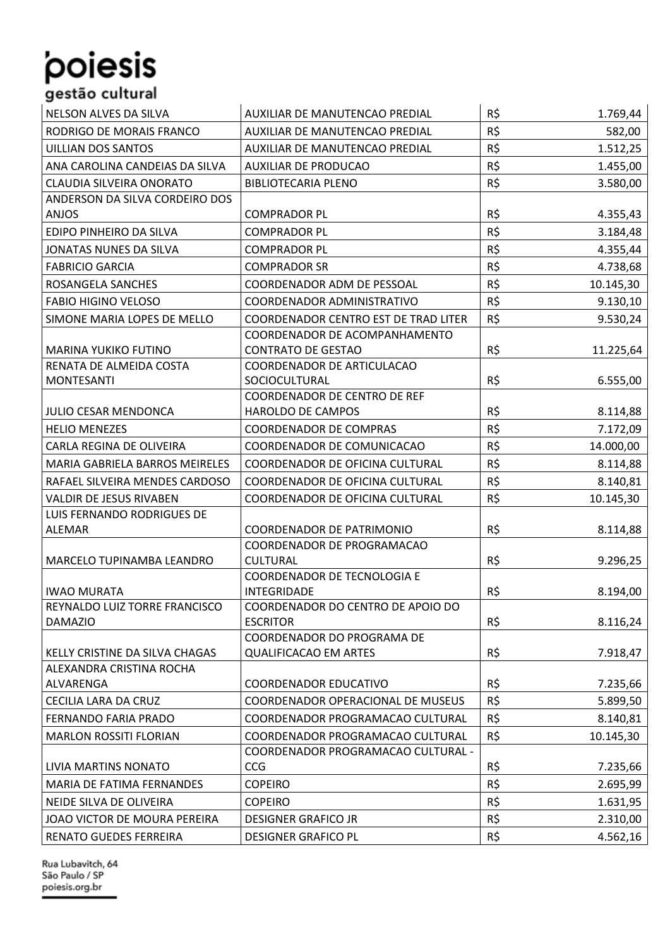#### NELSON ALVES DA SILVA AUXILIAR DE MANUTENCAO PREDIAL AUSTRALIA EN 1.769,44 RODRIGO DE MORAIS FRANCO AUXILIAR DE MANUTENCAO PREDIAL R\$ 582,00 UILLIAN DOS SANTOS AUXILIAR DE MANUTENCAO PREDIAL R\$ 1.512,25 ANA CAROLINA CANDEIAS DA SILVA AUXILIAR DE PRODUCAO R\$ 1.455,00 CLAUDIA SILVEIRA ONORATO BIBLIOTECARIA PLENO RESIDENTIALES EN LA R\$ 3.580.00 ANDERSON DA SILVA CORDEIRO DOS ANJOS COMPRADOR PL R\$ 4.355,43 EDIPO PINHEIRO DA SILVA COMPRADOR PL R\$ 3.184,48 JONATAS NUNES DA SILVA COMPRADOR PL R\$ 4.355,44 FABRICIO GARCIA COMPRADOR SR R\$ 4.738,68 ROSANGELA SANCHES | COORDENADOR ADM DE PESSOAL | R\$ 10.145,30 FABIO HIGINO VELOSO COORDENADOR ADMINISTRATIVO | R\$ 9.130,10 SIMONE MARIA LOPES DE MELLO | COORDENADOR CENTRO EST DE TRAD LITER | R\$ 9.530,24 MARINA YUKIKO FUTINO COORDENADOR DE ACOMPANHAMENTO CONTRATO DE GESTAO R\$ 11.225,64 RENATA DE ALMEIDA COSTA MONTESANTI COORDENADOR DE ARTICULACAO SOCIOCULTURAL R\$ 6.555,00 JULIO CESAR MENDONCA COORDENADOR DE CENTRO DE REF HAROLDO DE CAMPOS RESTRAINING RESTRAINING RESTRAINING RESTRAINING RESTRAINING RESTRAINING RESTRAINING RESTRAIN HELIO MENEZES COORDENADOR DE COMPRAS RIS AND RESERVED TO A 172,09 CARLA REGINA DE OLIVEIRA (COORDENADOR DE COMUNICACAO | R\$ 14.000,00 MARIA GABRIELA BARROS MEIRELES | COORDENADOR DE OFICINA CULTURAL | R\$ 8.114,88 RAFAEL SILVEIRA MENDES CARDOSO | COORDENADOR DE OFICINA CULTURAL | R\$ 8.140,81 VALDIR DE JESUS RIVABEN | COORDENADOR DE OFICINA CULTURAL | R\$ 10.145,30 LUIS FERNANDO RODRIGUES DE ALEMAR COORDENADOR DE PATRIMONIO R\$ 8.114,88 MARCELO TUPINAMBA LEANDRO COORDENADOR DE PROGRAMACAO CULTURAL R\$ 9.296,25 IWAO MURATA COORDENADOR DE TECNOLOGIA E INTEGRIDADE R\$ 8.194,00 REYNALDO LUIZ TORRE FRANCISCO DAMAZIO COORDENADOR DO CENTRO DE APOIO DO ESCRITOR R\$ 8.116,24 KELLY CRISTINE DA SILVA CHAGAS COORDENADOR DO PROGRAMA DE QUALIFICACAO EM ARTES Research R\$ 7.918.47 ALEXANDRA CRISTINA ROCHA ALVARENGA COORDENADOR EDUCATIVO R\$ 7.235,66 CECILIA LARA DA CRUZ COORDENADOR OPERACIONAL DE MUSEUS | R\$ 5.899,50 FERNANDO FARIA PRADO COORDENADOR PROGRAMACAO CULTURAL R\$ 8.140,81 MARLON ROSSITI FLORIAN | COORDENADOR PROGRAMACAO CULTURAL | R\$ 10.145,30 LIVIA MARTINS NONATO COORDENADOR PROGRAMACAO CULTURAL -  $CCG$  7.235,66 MARIA DE FATIMA FERNANDES (COPEIRO RESPONDENCE EN LA COPEIRO RESPONDENCE EN LA COPEIRO RESPONDENCE EN LA COPEI NEIDE SILVA DE OLIVEIRA (COPEIRO RESPONDENTE DE LOS 1.631,95 JOAO VICTOR DE MOURA PEREIRA DESIGNER GRAFICO JR R\$ 2.310,00 RENATO GUEDES FERREIRA | DESIGNER GRAFICO PL | R\$ 4.562,16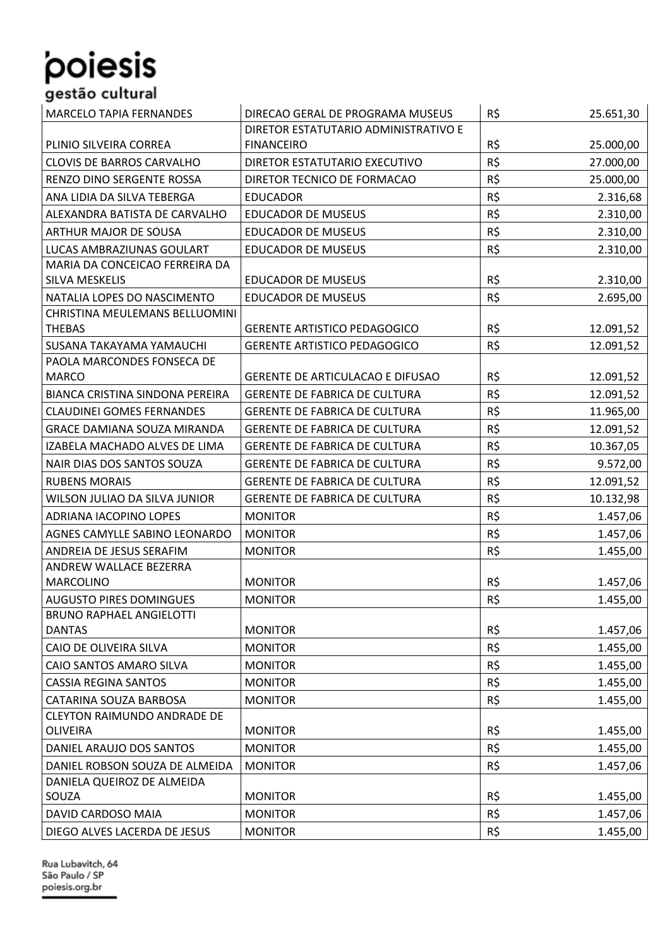## poiesis .<br>gestão cultural

| <b>MARCELO TAPIA FERNANDES</b>         | DIRECAO GERAL DE PROGRAMA MUSEUS        | R\$ | 25.651,30 |
|----------------------------------------|-----------------------------------------|-----|-----------|
|                                        | DIRETOR ESTATUTARIO ADMINISTRATIVO E    |     |           |
| PLINIO SILVEIRA CORREA                 | <b>FINANCEIRO</b>                       | R\$ | 25.000,00 |
| <b>CLOVIS DE BARROS CARVALHO</b>       | DIRETOR ESTATUTARIO EXECUTIVO           | R\$ | 27.000,00 |
| RENZO DINO SERGENTE ROSSA              | DIRETOR TECNICO DE FORMACAO             | R\$ | 25.000,00 |
| ANA LIDIA DA SILVA TEBERGA             | <b>EDUCADOR</b>                         | R\$ | 2.316,68  |
| ALEXANDRA BATISTA DE CARVALHO          | <b>EDUCADOR DE MUSEUS</b>               | R\$ | 2.310,00  |
| ARTHUR MAJOR DE SOUSA                  | <b>EDUCADOR DE MUSEUS</b>               | R\$ | 2.310,00  |
| LUCAS AMBRAZIUNAS GOULART              | <b>EDUCADOR DE MUSEUS</b>               | R\$ | 2.310,00  |
| MARIA DA CONCEICAO FERREIRA DA         |                                         |     |           |
| SILVA MESKELIS                         | <b>EDUCADOR DE MUSEUS</b>               | R\$ | 2.310,00  |
| NATALIA LOPES DO NASCIMENTO            | <b>EDUCADOR DE MUSEUS</b>               | R\$ | 2.695,00  |
| CHRISTINA MEULEMANS BELLUOMINI         |                                         |     |           |
| <b>THEBAS</b>                          | <b>GERENTE ARTISTICO PEDAGOGICO</b>     | R\$ | 12.091,52 |
| SUSANA TAKAYAMA YAMAUCHI               | <b>GERENTE ARTISTICO PEDAGOGICO</b>     | R\$ | 12.091,52 |
| PAOLA MARCONDES FONSECA DE             |                                         |     |           |
| <b>MARCO</b>                           | <b>GERENTE DE ARTICULACAO E DIFUSAO</b> | R\$ | 12.091,52 |
| <b>BIANCA CRISTINA SINDONA PEREIRA</b> | <b>GERENTE DE FABRICA DE CULTURA</b>    | R\$ | 12.091,52 |
| <b>CLAUDINEI GOMES FERNANDES</b>       | <b>GERENTE DE FABRICA DE CULTURA</b>    | R\$ | 11.965,00 |
| <b>GRACE DAMIANA SOUZA MIRANDA</b>     | <b>GERENTE DE FABRICA DE CULTURA</b>    | R\$ | 12.091,52 |
| IZABELA MACHADO ALVES DE LIMA          | <b>GERENTE DE FABRICA DE CULTURA</b>    | R\$ | 10.367,05 |
| NAIR DIAS DOS SANTOS SOUZA             | <b>GERENTE DE FABRICA DE CULTURA</b>    | R\$ | 9.572,00  |
| <b>RUBENS MORAIS</b>                   | <b>GERENTE DE FABRICA DE CULTURA</b>    | R\$ | 12.091,52 |
| WILSON JULIAO DA SILVA JUNIOR          | <b>GERENTE DE FABRICA DE CULTURA</b>    | R\$ | 10.132,98 |
| ADRIANA IACOPINO LOPES                 | <b>MONITOR</b>                          | R\$ | 1.457,06  |
| AGNES CAMYLLE SABINO LEONARDO          | <b>MONITOR</b>                          | R\$ | 1.457,06  |
| ANDREIA DE JESUS SERAFIM               | <b>MONITOR</b>                          | R\$ | 1.455,00  |
| ANDREW WALLACE BEZERRA                 |                                         |     |           |
| <b>MARCOLINO</b>                       | <b>MONITOR</b>                          | R\$ | 1.457,06  |
| <b>AUGUSTO PIRES DOMINGUES</b>         | <b>MONITOR</b>                          | R\$ | 1.455,00  |
| <b>BRUNO RAPHAEL ANGIELOTTI</b>        |                                         |     |           |
| <b>DANTAS</b>                          | <b>MONITOR</b>                          | R\$ | 1.457,06  |
| CAIO DE OLIVEIRA SILVA                 | <b>MONITOR</b>                          | R\$ | 1.455,00  |
| CAIO SANTOS AMARO SILVA                | <b>MONITOR</b>                          | R\$ | 1.455,00  |
| <b>CASSIA REGINA SANTOS</b>            | <b>MONITOR</b>                          | R\$ | 1.455,00  |
| CATARINA SOUZA BARBOSA                 | <b>MONITOR</b>                          | R\$ | 1.455,00  |
| <b>CLEYTON RAIMUNDO ANDRADE DE</b>     |                                         |     |           |
| <b>OLIVEIRA</b>                        | <b>MONITOR</b>                          | R\$ | 1.455,00  |
| DANIEL ARAUJO DOS SANTOS               | <b>MONITOR</b>                          | R\$ | 1.455,00  |
| DANIEL ROBSON SOUZA DE ALMEIDA         | <b>MONITOR</b>                          | R\$ | 1.457,06  |
| DANIELA QUEIROZ DE ALMEIDA             |                                         |     |           |
| SOUZA                                  | <b>MONITOR</b>                          | R\$ | 1.455,00  |
| DAVID CARDOSO MAIA                     | <b>MONITOR</b>                          | R\$ | 1.457,06  |
| DIEGO ALVES LACERDA DE JESUS           | <b>MONITOR</b>                          | R\$ | 1.455,00  |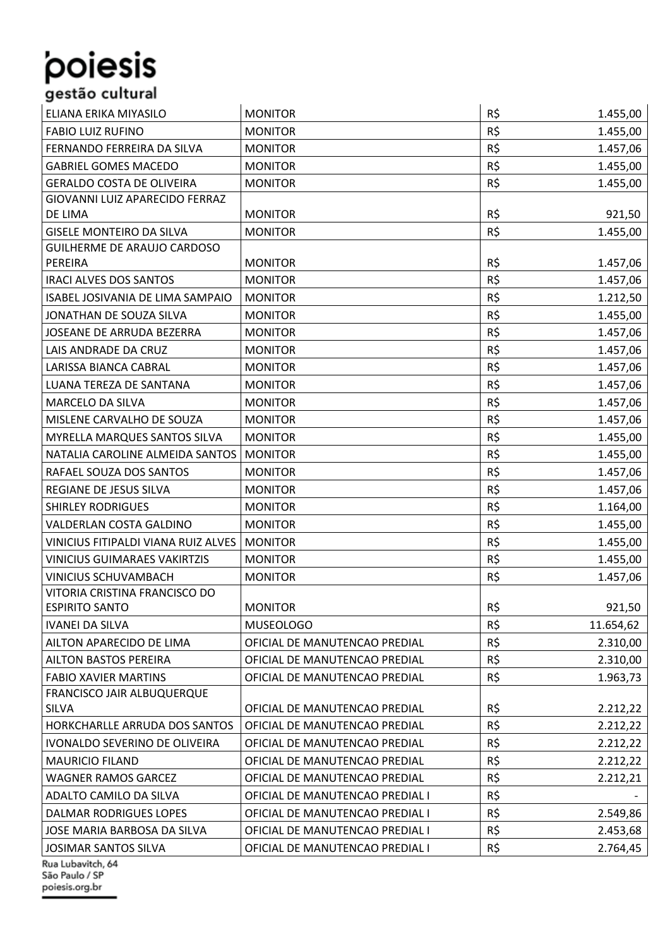### ELIANA ERIKA MIYASILO MONITOR R\$ 1.455,00 FABIO LUIZ RUFINO MONITOR **NONITOR** R\$ 1.455,00 FERNANDO FERREIRA DA SILVA | MONITOR | R\$ 1.457,06 GABRIEL GOMES MACEDO MONITOR R\$ 1.455,00 GERALDO COSTA DE OLIVEIRA MONITOR DE LA ESTADO DE LA ESTADO DE LA ESTADO DE LA ESTADO DE LA ESTADO DE LA ESTAD GIOVANNI LUIZ APARECIDO FERRAZ DE LIMA MONITOR R\$ 921,50 GISELE MONTEIRO DA SILVA MONITOR R\$ 1.455,00 GUILHERME DE ARAUJO CARDOSO PEREIRA MONITOR R\$ 1.457,06 IRACI ALVES DOS SANTOS MONITOR R\$ 1.457,06 ISABEL JOSIVANIA DE LIMA SAMPAIO MONITOR REDUCEDO EN LOS ENTRE LA 1.212.50 JONATHAN DE SOUZA SILVA MONITOR RESERVED AND RESERVED ASSESSED A LASS,00 JOSEANE DE ARRUDA BEZERRA MONITOR NEWSLEY AND R\$ 1.457,06 LAIS ANDRADE DA CRUZ MONITOR **Reserves And Alternative Contract CRU** R\$ 1.457,06 LARISSA BIANCA CABRAL | MONITOR | R\$ 1.457,06 LUANA TEREZA DE SANTANA MONITOR NEGLES DE SANTANA MONITOR DE LA ESTADO EN LA ESTADO DE LA ESTADO DE LA ESTADO D MARCELO DA SILVA **MONITOR** MONITOR **R\$** 1.457,06 MISLENE CARVALHO DE SOUZA MONITOR RESERVED AND LAST, 06 MYRELLA MARQUES SANTOS SILVA MONITOR R\$ 1.455,00 NATALIA CAROLINE ALMEIDA SANTOS MONITOR RESIDENTIALES EN LA ESSA DE LA 1.455.00 RAFAEL SOUZA DOS SANTOS MONITOR RAFAEL SOUZA DOS SANTOS MONITOR REGIANE DE JESUS SILVA MONITOR NEGIANE DE JESUS SILVA MONITOR SHIRLEY RODRIGUES MONITOR R\$ 1.164,00 VALDERLAN COSTA GALDINO MONITOR R\$ 1.455.00 VINICIUS FITIPALDI VIANA RUIZ ALVES MONITOR R\$ 1.455,00 VINICIUS GUIMARAES VAKIRTZIS MONITOR R\$ 1.455,00 VINICIUS SCHUVAMBACH MONITOR R\$ 1.457,06 VITORIA CRISTINA FRANCISCO DO ESPIRITO SANTO MONITOR R\$ 921,50 IVANEI DA SILVA MUSEOLOGO MEDICINE EN LOREA EN LOREA EN LOREA EN LOREA EN LOREA EN LOREA EN LOREA EN LOREA EN AILTON APARECIDO DE LIMA  $\vert$  OFICIAL DE MANUTENCAO PREDIAL  $\vert$  R\$ 2.310,00 AILTON BASTOS PEREIRA **OFICIAL DE MANUTENCAO PREDIAL** R\$ 2.310.00 FABIO XAVIER MARTINS | OFICIAL DE MANUTENCAO PREDIAL | R\$ 1.963,73 FRANCISCO JAIR ALBUQUERQUE SILVA OFICIAL DE MANUTENCAO PREDIAL R\$ 2.212,22 HORKCHARLLE ARRUDA DOS SANTOS | OFICIAL DE MANUTENCAO PREDIAL | R\$ 2.212,22 IVONALDO SEVERINO DE OLIVEIRA  $\overline{)}$ OFICIAL DE MANUTENCAO PREDIAL  $\overline{)}$ R\$ 2.212.22 MAURICIO FILAND **OFICIAL DE MANUTENCAO PREDIAL** R\$ 2.212,22 WAGNER RAMOS GARCEZ | OFICIAL DE MANUTENCAO PREDIAL | R\$ 2.212,21 ADALTO CAMILO DA SILVA $\vert$ OFICIAL DE MANUTENCAO PREDIAL I $\vert$ R\$ DALMAR RODRIGUES LOPES | OFICIAL DE MANUTENCAO PREDIAL I | R\$ 2.549,86

JOSE MARIA BARBOSA DA SILVA | OFICIAL DE MANUTENCAO PREDIAL I | R\$ 2.453,68

JOSIMAR SANTOS SILVA OFICIAL DE MANUTENCAO PREDIAL I R\$ 2.764,45 Rua Lubavitch, 64 São Paulo / SP poiesis.org.br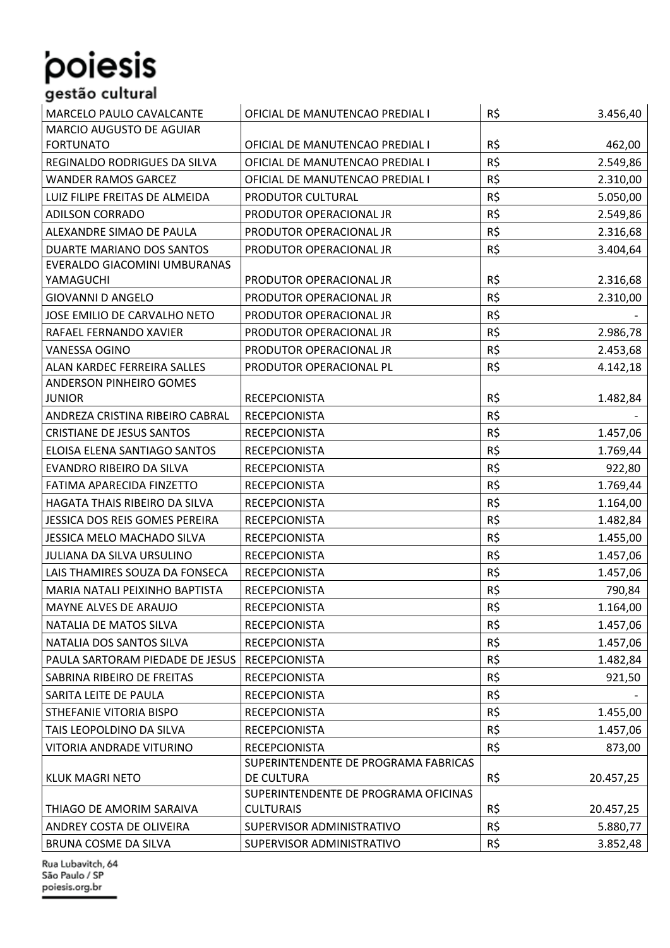### MARCELO PAULO CAVALCANTE | OFICIAL DE MANUTENCAO PREDIAL I | R\$ 3.456,40 MARCIO AUGUSTO DE AGUIAR FORTUNATO OFICIAL DE MANUTENCAO PREDIAL I R\$ 462,00 REGINALDO RODRIGUES DA SILVA | OFICIAL DE MANUTENCAO PREDIAL I | R\$ 2.549,86 WANDER RAMOS GARCEZ **OFICIAL DE MANUTENCAO PREDIAL I** R\$ 2.310,00 LUIZ FILIPE FREITAS DE ALMEIDA PRODUTOR CULTURAL R\$ 5.050,00 ADILSON CORRADO **PRODUTOR OPERACIONAL JR** R\$ 2.549,86 ALEXANDRE SIMAO DE PAULA PRODUTOR OPERACIONAL JR R\$ 2.316,68 DUARTE MARIANO DOS SANTOS PRODUTOR OPERACIONAL JR R\$ 3.404,64 EVERALDO GIACOMINI UMBURANAS YAMAGUCHI PRODUTOR OPERACIONAL JR R\$ 2.316,68 GIOVANNI D ANGELO **REALIST PRODUTOR OPERACIONAL JR** R\$ 2.310.00 JOSE EMILIO DE CARVALHO NETO | PRODUTOR OPERACIONAL JR | R\$ RAFAEL FERNANDO XAVIER PRODUTOR OPERACIONAL JR R\$ 2.986,78 VANESSA OGINO PRODUTOR OPERACIONAL JR R\$ 2.453,68 ALAN KARDEC FERREIRA SALLES FRODUTOR OPERACIONAL PLACE IN A SALLEY A 4.142,18 ANDERSON PINHEIRO GOMES JUNIOR RECEPCIONISTA R\$ 1.482,84 ANDREZA CRISTINA RIBEIRO CABRAL RECEPCIONISTA R\$ - CRISTIANE DE JESUS SANTOS RECEPCIONISTA RECEPCIONISTA R\$ 1.457,06 ELOISA ELENA SANTIAGO SANTOS RECEPCIONISTA RECEPTIONISTA RECEPTION RECEPTION RECEPTION RECEPTION RECEPTION RET EVANDRO RIBEIRO DA SILVA RECEPCIONISTA R\$ 922,80 FATIMA APARECIDA FINZETTO RECEPCIONISTA RECEPTIONISTA R\$ 1.769,44 HAGATA THAIS RIBEIRO DA SILVA RECEPCIONISTA RECEPTION RESIDENT RESAULT 2.164,00 JESSICA DOS REIS GOMES PEREIRA RECEPCIONISTA RECEPTION RESERVED A RECEPCION RECEPTION RECEPTION RECEPTION RESERVED ASSESSED. JESSICA MELO MACHADO SILVA RECEPCIONISTA R\$ R\$ 1.455,00 JULIANA DA SILVA URSULINO RECEPCIONISTA R\$ 1.457,06 LAIS THAMIRES SOUZA DA FONSECA RECEPCIONISTA RESAULT RESAULT RESAULT 2.457,06 MARIA NATALI PEIXINHO BAPTISTA RECEPCIONISTA RECEPTIONISTA R\$ R\$ 790,84 MAYNE ALVES DE ARAUJO RECEPCIONISTA RESERVED AND RESERVED AS RESERVED AS RECEPCIONISTA NATALIA DE MATOS SILVA  $\left| \right.$ RECEPCIONISTA  $\left| \right.$ R\$ 1.457,06 NATALIA DOS SANTOS SILVA RECEPCIONISTA R\$ 1.457,06 PAULA SARTORAM PIEDADE DE JESUS RECEPCIONISTA REGERENTI EN LA RS EN 1.482.84 SABRINA RIBEIRO DE FREITAS RECEPCIONISTA RECEPCIONISTA R\$ R\$ 921,50 SARITA LEITE DE PAULA RECEPCIONISTA R\$ - STHEFANIE VITORIA BISPO RECEPCIONISTA RECEPTIONISTA R\$ 1.455,00 TAIS LEOPOLDINO DA SILVA RECEPCIONISTA RECEPCIONISTA RISPOSSIBLE OPOLDINO DA SILVA VITORIA ANDRADE VITURINO RECEPCIONISTA R\$ R\$ 873,00 KLUK MAGRI NETO SUPERINTENDENTE DE PROGRAMA FABRICAS DE CULTURA R\$ 20.457,25 THIAGO DE AMORIM SARAIVA SUPERINTENDENTE DE PROGRAMA OFICINAS CULTURAIS R\$ 20.457,25 ANDREY COSTA DE OLIVEIRA SUPERVISOR ADMINISTRATIVO SUPERVISOR ADMINISTRATIVO BRUNA COSME DA SILVA SUPERVISOR ADMINISTRATIVO RISPORTIVO SUPERVISOR ADMINISTRATIVO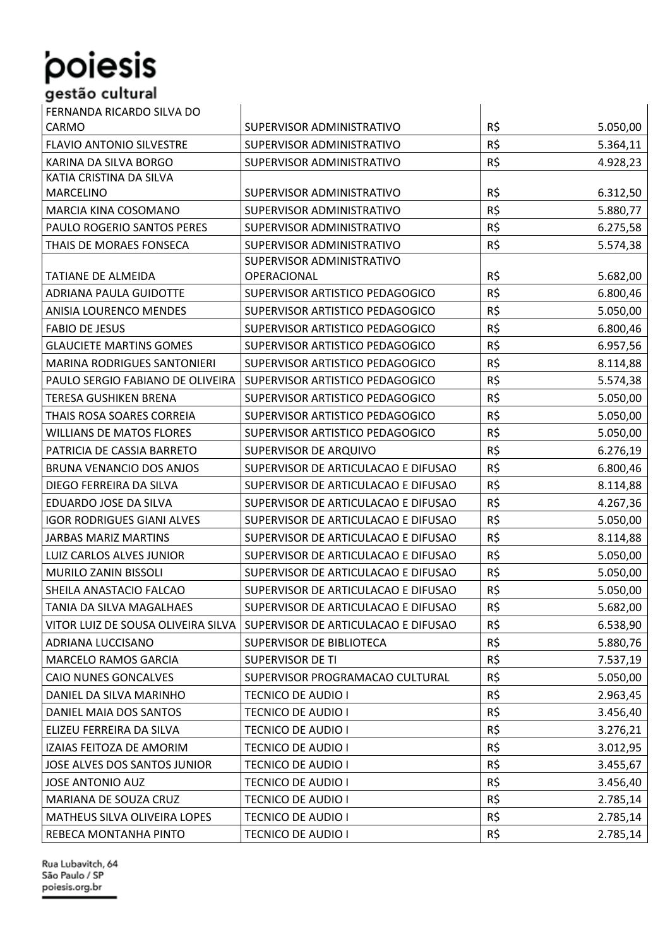| FERNANDA RICARDO SILVA DO          |                                     |     |          |
|------------------------------------|-------------------------------------|-----|----------|
| CARMO                              | SUPERVISOR ADMINISTRATIVO           | R\$ | 5.050,00 |
| FLAVIO ANTONIO SILVESTRE           | SUPERVISOR ADMINISTRATIVO           | R\$ | 5.364,11 |
| KARINA DA SILVA BORGO              | SUPERVISOR ADMINISTRATIVO           | R\$ | 4.928,23 |
| KATIA CRISTINA DA SILVA            |                                     |     |          |
| <b>MARCELINO</b>                   | SUPERVISOR ADMINISTRATIVO           | R\$ | 6.312,50 |
| MARCIA KINA COSOMANO               | SUPERVISOR ADMINISTRATIVO           | R\$ | 5.880,77 |
| PAULO ROGERIO SANTOS PERES         | SUPERVISOR ADMINISTRATIVO           | R\$ | 6.275,58 |
| THAIS DE MORAES FONSECA            | SUPERVISOR ADMINISTRATIVO           | R\$ | 5.574,38 |
|                                    | SUPERVISOR ADMINISTRATIVO           |     |          |
| TATIANE DE ALMEIDA                 | OPERACIONAL                         | R\$ | 5.682,00 |
| ADRIANA PAULA GUIDOTTE             | SUPERVISOR ARTISTICO PEDAGOGICO     | R\$ | 6.800,46 |
| <b>ANISIA LOURENCO MENDES</b>      | SUPERVISOR ARTISTICO PEDAGOGICO     | R\$ | 5.050,00 |
| <b>FABIO DE JESUS</b>              | SUPERVISOR ARTISTICO PEDAGOGICO     | R\$ | 6.800,46 |
| <b>GLAUCIETE MARTINS GOMES</b>     | SUPERVISOR ARTISTICO PEDAGOGICO     | R\$ | 6.957,56 |
| <b>MARINA RODRIGUES SANTONIERI</b> | SUPERVISOR ARTISTICO PEDAGOGICO     | R\$ | 8.114,88 |
| PAULO SERGIO FABIANO DE OLIVEIRA   | SUPERVISOR ARTISTICO PEDAGOGICO     | R\$ | 5.574,38 |
| TERESA GUSHIKEN BRENA              | SUPERVISOR ARTISTICO PEDAGOGICO     | R\$ | 5.050,00 |
| THAIS ROSA SOARES CORREIA          | SUPERVISOR ARTISTICO PEDAGOGICO     | R\$ | 5.050,00 |
| <b>WILLIANS DE MATOS FLORES</b>    | SUPERVISOR ARTISTICO PEDAGOGICO     | R\$ | 5.050,00 |
| PATRICIA DE CASSIA BARRETO         | SUPERVISOR DE ARQUIVO               | R\$ | 6.276,19 |
| BRUNA VENANCIO DOS ANJOS           | SUPERVISOR DE ARTICULACAO E DIFUSAO | R\$ | 6.800,46 |
| DIEGO FERREIRA DA SILVA            | SUPERVISOR DE ARTICULACAO E DIFUSAO | R\$ | 8.114,88 |
| EDUARDO JOSE DA SILVA              | SUPERVISOR DE ARTICULACAO E DIFUSAO | R\$ | 4.267,36 |
| <b>IGOR RODRIGUES GIANI ALVES</b>  | SUPERVISOR DE ARTICULACAO E DIFUSAO | R\$ | 5.050,00 |
| <b>JARBAS MARIZ MARTINS</b>        | SUPERVISOR DE ARTICULACAO E DIFUSAO | R\$ | 8.114,88 |
| LUIZ CARLOS ALVES JUNIOR           | SUPERVISOR DE ARTICULACAO E DIFUSAO | R\$ | 5.050,00 |
| MURILO ZANIN BISSOLI               | SUPERVISOR DE ARTICULACAO E DIFUSAO | R\$ | 5.050,00 |
| SHEILA ANASTACIO FALCAO            | SUPERVISOR DE ARTICULACAO E DIFUSAO | R\$ | 5.050,00 |
| TANIA DA SILVA MAGALHAES           | SUPERVISOR DE ARTICULACAO E DIFUSAO | R\$ | 5.682,00 |
| VITOR LUIZ DE SOUSA OLIVEIRA SILVA | SUPERVISOR DE ARTICULACAO E DIFUSAO | R\$ | 6.538,90 |
| ADRIANA LUCCISANO                  | SUPERVISOR DE BIBLIOTECA            | R\$ | 5.880,76 |
| MARCELO RAMOS GARCIA               | <b>SUPERVISOR DE TI</b>             | R\$ | 7.537,19 |
| CAIO NUNES GONCALVES               | SUPERVISOR PROGRAMACAO CULTURAL     | R\$ | 5.050,00 |
| DANIEL DA SILVA MARINHO            | TECNICO DE AUDIO I                  | R\$ | 2.963,45 |
| DANIEL MAIA DOS SANTOS             | TECNICO DE AUDIO I                  | R\$ | 3.456,40 |
| ELIZEU FERREIRA DA SILVA           | TECNICO DE AUDIO I                  | R\$ | 3.276,21 |
| IZAIAS FEITOZA DE AMORIM           | TECNICO DE AUDIO I                  | R\$ | 3.012,95 |
| JOSE ALVES DOS SANTOS JUNIOR       | TECNICO DE AUDIO I                  | R\$ | 3.455,67 |
| <b>JOSE ANTONIO AUZ</b>            | TECNICO DE AUDIO I                  | R\$ | 3.456,40 |
| MARIANA DE SOUZA CRUZ              | TECNICO DE AUDIO I                  | R\$ | 2.785,14 |
| MATHEUS SILVA OLIVEIRA LOPES       | TECNICO DE AUDIO I                  | R\$ | 2.785,14 |
| REBECA MONTANHA PINTO              | TECNICO DE AUDIO I                  | R\$ | 2.785,14 |
|                                    |                                     |     |          |